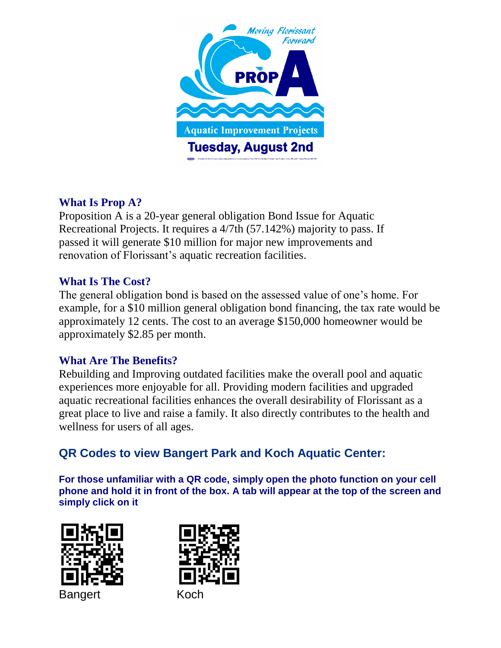

## **What Is Prop A?**

Proposition A is a 20-year general obligation Bond Issue for Aquatic Recreational Projects. It requires a 4/7th (57.142%) majority to pass. If passed it will generate \$10 million for major new improvements and renovation of Florissant's aquatic recreation facilities.

## **What Is The Cost?**

The general obligation bond is based on the assessed value of one's home. For example, for a \$10 million general obligation bond financing, the tax rate would be approximately 12 cents. The cost to an average \$150,000 homeowner would be approximately \$2.85 per month.

## **What Are The Benefits?**

Rebuilding and Improving outdated facilities make the overall pool and aquatic experiences more enjoyable for all. Providing modern facilities and upgraded aquatic recreational facilities enhances the overall desirability of Florissant as a great place to live and raise a family. It also directly contributes to the health and wellness for users of all ages.

## **QR Codes to view Bangert Park and Koch Aquatic Center:**

**For those unfamiliar with a QR code, simply open the photo function on your cell phone and hold it in front of the box. A tab will appear at the top of the screen and simply click on it.**